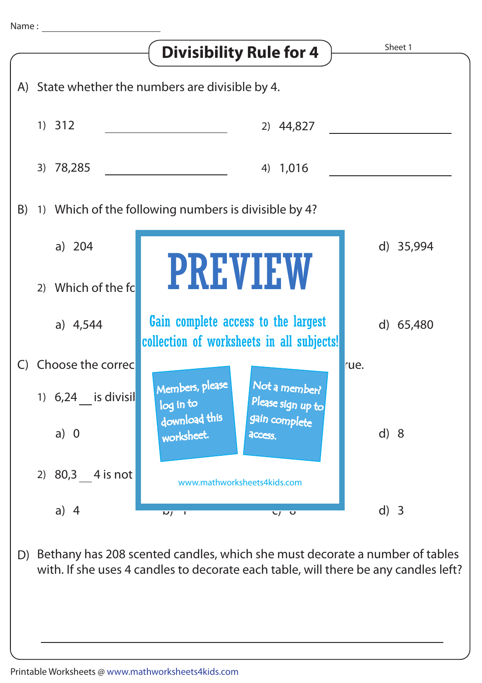

with. If she uses 4 candles to decorate each table, will there be any candles left?